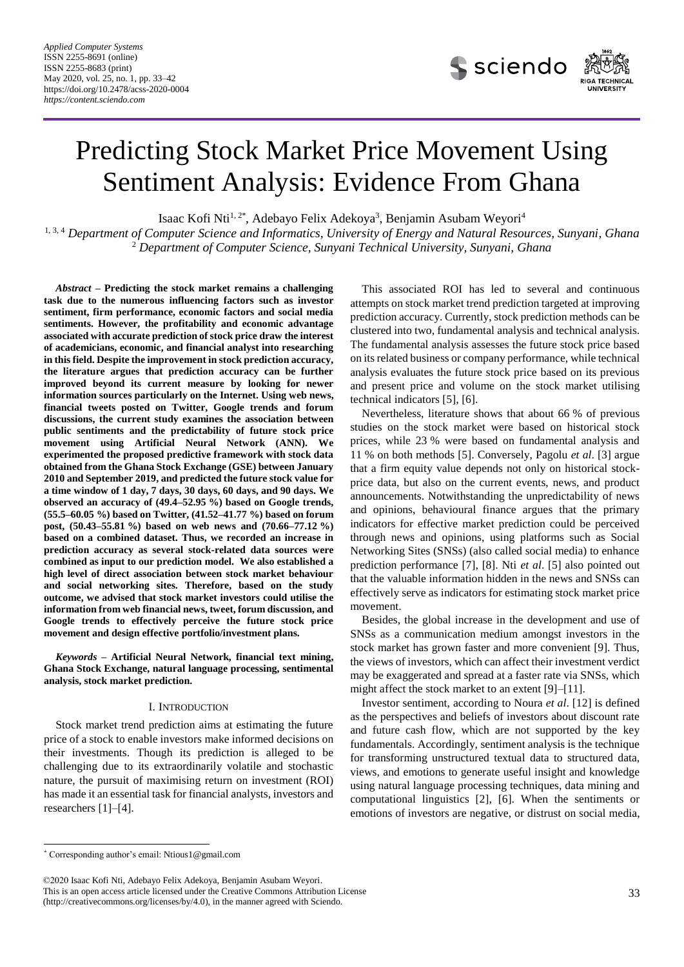

# Predicting Stock Market Price Movement Using Sentiment Analysis: Evidence From Ghana

Isaac Kofi Nti<sup>1,2\*</sup>, Adebayo Felix Adekoya<sup>3</sup>, Benjamin Asubam Weyori<sup>4</sup>

1, 3, 4 *Department of Computer Science and Informatics, University of Energy and Natural Resources, Sunyani, Ghana* <sup>2</sup> *Department of Computer Science, Sunyani Technical University, Sunyani, Ghana*

*Abstract –* **Predicting the stock market remains a challenging task due to the numerous influencing factors such as investor sentiment, firm performance, economic factors and social media sentiments. However, the profitability and economic advantage associated with accurate prediction of stock price draw the interest of academicians, economic, and financial analyst into researching in this field. Despite the improvement in stock prediction accuracy, the literature argues that prediction accuracy can be further improved beyond its current measure by looking for newer information sources particularly on the Internet. Using web news, financial tweets posted on Twitter, Google trends and forum discussions, the current study examines the association between public sentiments and the predictability of future stock price movement using Artificial Neural Network (ANN). We experimented the proposed predictive framework with stock data obtained from the Ghana Stock Exchange (GSE) between January 2010 and September 2019, and predicted the future stock value for a time window of 1 day, 7 days, 30 days, 60 days, and 90 days. We observed an accuracy of (49.4–52.95 %) based on Google trends, (55.5–60.05 %) based on Twitter, (41.52–41.77 %) based on forum post, (50.43–55.81 %) based on web news and (70.66–77.12 %) based on a combined dataset. Thus, we recorded an increase in prediction accuracy as several stock-related data sources were combined as input to our prediction model. We also established a high level of direct association between stock market behaviour and social networking sites. Therefore, based on the study outcome, we advised that stock market investors could utilise the information from web financial news, tweet, forum discussion, and Google trends to effectively perceive the future stock price movement and design effective portfolio/investment plans.**

*Keywords* **– Artificial Neural Network, financial text mining, Ghana Stock Exchange, natural language processing, sentimental analysis, stock market prediction.**

## I. INTRODUCTION

Stock market trend prediction aims at estimating the future price of a stock to enable investors make informed decisions on their investments. Though its prediction is alleged to be challenging due to its extraordinarily volatile and stochastic nature, the pursuit of maximising return on investment (ROI) has made it an essential task for financial analysts, investors and researchers [1]–[4].

This associated ROI has led to several and continuous attempts on stock market trend prediction targeted at improving prediction accuracy. Currently, stock prediction methods can be clustered into two, fundamental analysis and technical analysis. The fundamental analysis assesses the future stock price based on its related business or company performance, while technical analysis evaluates the future stock price based on its previous and present price and volume on the stock market utilising technical indicators [5], [6].

Nevertheless, literature shows that about 66 % of previous studies on the stock market were based on historical stock prices, while 23 % were based on fundamental analysis and 11 % on both methods [5]. Conversely, Pagolu *et al*. [3] argue that a firm equity value depends not only on historical stockprice data, but also on the current events, news, and product announcements. Notwithstanding the unpredictability of news and opinions, behavioural finance argues that the primary indicators for effective market prediction could be perceived through news and opinions, using platforms such as Social Networking Sites (SNSs) (also called social media) to enhance prediction performance [7], [8]. Nti *et al*. [5] also pointed out that the valuable information hidden in the news and SNSs can effectively serve as indicators for estimating stock market price movement.

Besides, the global increase in the development and use of SNSs as a communication medium amongst investors in the stock market has grown faster and more convenient [9]. Thus, the views of investors, which can affect their investment verdict may be exaggerated and spread at a faster rate via SNSs, which might affect the stock market to an extent [9]–[11].

Investor sentiment, according to Noura *et al*. [12] is defined as the perspectives and beliefs of investors about discount rate and future cash flow, which are not supported by the key fundamentals. Accordingly, sentiment analysis is the technique for transforming unstructured textual data to structured data, views, and emotions to generate useful insight and knowledge using natural language processing techniques, data mining and computational linguistics [2], [6]. When the sentiments or emotions of investors are negative, or distrust on social media,

-

<sup>\*</sup> Corresponding author's email: [Ntious1@gmail.com](mailto:Ntious1@gmail.com)

<sup>©2020</sup> Isaac Kofi Nti, Adebayo Felix Adekoya, Benjamin Asubam Weyori. This is an open access article licensed under the Creative Commons Attribution License

[<sup>\(</sup>http://creativecommons.org/licenses/by/4.0\)](http://creativecommons.org/licenses/by/4.0), in the manner agreed with Sciendo.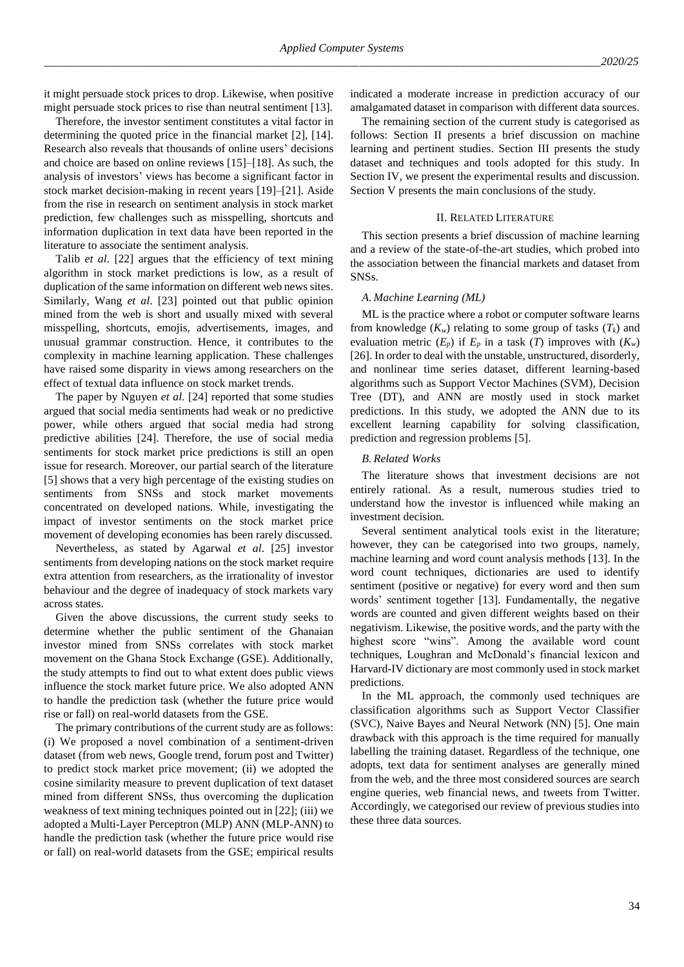it might persuade stock prices to drop. Likewise, when positive might persuade stock prices to rise than neutral sentiment [13].

Therefore, the investor sentiment constitutes a vital factor in determining the quoted price in the financial market [2], [14]. Research also reveals that thousands of online users' decisions and choice are based on online reviews [15]–[18]. As such, the analysis of investors' views has become a significant factor in stock market decision-making in recent years [19]–[21]. Aside from the rise in research on sentiment analysis in stock market prediction, few challenges such as misspelling, shortcuts and information duplication in text data have been reported in the literature to associate the sentiment analysis.

Talib *et al*. [22] argues that the efficiency of text mining algorithm in stock market predictions is low, as a result of duplication of the same information on different web news sites. Similarly, Wang *et al*. [23] pointed out that public opinion mined from the web is short and usually mixed with several misspelling, shortcuts, emojis, advertisements, images, and unusual grammar construction. Hence, it contributes to the complexity in machine learning application. These challenges have raised some disparity in views among researchers on the effect of textual data influence on stock market trends.

The paper by Nguyen *et al*. [24] reported that some studies argued that social media sentiments had weak or no predictive power, while others argued that social media had strong predictive abilities [24]. Therefore, the use of social media sentiments for stock market price predictions is still an open issue for research. Moreover, our partial search of the literature [5] shows that a very high percentage of the existing studies on sentiments from SNSs and stock market movements concentrated on developed nations. While, investigating the impact of investor sentiments on the stock market price movement of developing economies has been rarely discussed.

Nevertheless, as stated by Agarwal *et al*. [25] investor sentiments from developing nations on the stock market require extra attention from researchers, as the irrationality of investor behaviour and the degree of inadequacy of stock markets vary across states.

Given the above discussions, the current study seeks to determine whether the public sentiment of the Ghanaian investor mined from SNSs correlates with stock market movement on the Ghana Stock Exchange (GSE). Additionally, the study attempts to find out to what extent does public views influence the stock market future price. We also adopted ANN to handle the prediction task (whether the future price would rise or fall) on real-world datasets from the GSE.

The primary contributions of the current study are as follows: (i) We proposed a novel combination of a sentiment-driven dataset (from web news, Google trend, forum post and Twitter) to predict stock market price movement; (ii) we adopted the cosine similarity measure to prevent duplication of text dataset mined from different SNSs, thus overcoming the duplication weakness of text mining techniques pointed out in [22]; (iii) we adopted a Multi-Layer Perceptron (MLP) ANN (MLP-ANN) to handle the prediction task (whether the future price would rise or fall) on real-world datasets from the GSE; empirical results indicated a moderate increase in prediction accuracy of our amalgamated dataset in comparison with different data sources.

The remaining section of the current study is categorised as follows: Section II presents a brief discussion on machine learning and pertinent studies. Section III presents the study dataset and techniques and tools adopted for this study. In Section IV, we present the experimental results and discussion. Section V presents the main conclusions of the study.

## II. RELATED LITERATURE

This section presents a brief discussion of machine learning and a review of the state-of-the-art studies, which probed into the association between the financial markets and dataset from SNSs.

## *A. Machine Learning (ML)*

ML is the practice where a robot or computer software learns from knowledge  $(K_w)$  relating to some group of tasks  $(T_k)$  and evaluation metric  $(E_p)$  if  $E_p$  in a task  $(T)$  improves with  $(K_w)$ [26]. In order to deal with the unstable, unstructured, disorderly, and nonlinear time series dataset, different learning-based algorithms such as Support Vector Machines (SVM), Decision Tree (DT), and ANN are mostly used in stock market predictions. In this study, we adopted the ANN due to its excellent learning capability for solving classification, prediction and regression problems [5].

## *B. Related Works*

The literature shows that investment decisions are not entirely rational. As a result, numerous studies tried to understand how the investor is influenced while making an investment decision.

Several sentiment analytical tools exist in the literature; however, they can be categorised into two groups, namely, machine learning and word count analysis methods [13]. In the word count techniques, dictionaries are used to identify sentiment (positive or negative) for every word and then sum words' sentiment together [13]. Fundamentally, the negative words are counted and given different weights based on their negativism. Likewise, the positive words, and the party with the highest score "wins". Among the available word count techniques, Loughran and McDonald's financial lexicon and Harvard-IV dictionary are most commonly used in stock market predictions.

In the ML approach, the commonly used techniques are classification algorithms such as Support Vector Classifier (SVC), Naive Bayes and Neural Network (NN) [5]. One main drawback with this approach is the time required for manually labelling the training dataset. Regardless of the technique, one adopts, text data for sentiment analyses are generally mined from the web, and the three most considered sources are search engine queries, web financial news, and tweets from Twitter. Accordingly, we categorised our review of previous studies into these three data sources.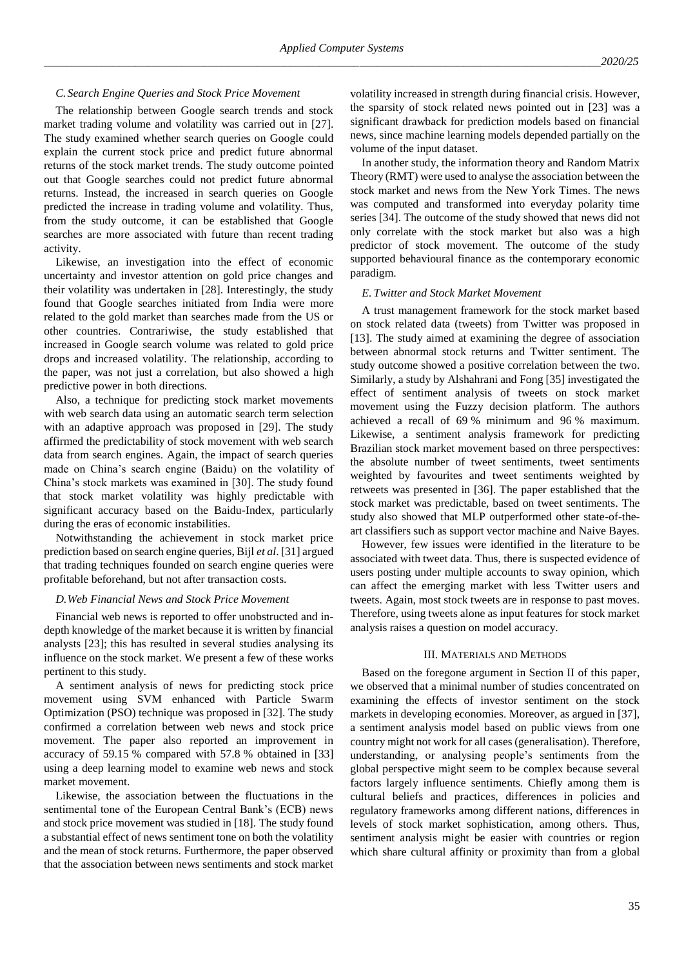## *C.Search Engine Queries and Stock Price Movement*

The relationship between Google search trends and stock market trading volume and volatility was carried out in [27]. The study examined whether search queries on Google could explain the current stock price and predict future abnormal returns of the stock market trends. The study outcome pointed out that Google searches could not predict future abnormal returns. Instead, the increased in search queries on Google predicted the increase in trading volume and volatility. Thus, from the study outcome, it can be established that Google searches are more associated with future than recent trading activity.

Likewise, an investigation into the effect of economic uncertainty and investor attention on gold price changes and their volatility was undertaken in [28]. Interestingly, the study found that Google searches initiated from India were more related to the gold market than searches made from the US or other countries. Contrariwise, the study established that increased in Google search volume was related to gold price drops and increased volatility. The relationship, according to the paper, was not just a correlation, but also showed a high predictive power in both directions.

Also, a technique for predicting stock market movements with web search data using an automatic search term selection with an adaptive approach was proposed in [29]. The study affirmed the predictability of stock movement with web search data from search engines. Again, the impact of search queries made on China's search engine (Baidu) on the volatility of China's stock markets was examined in [30]. The study found that stock market volatility was highly predictable with significant accuracy based on the Baidu-Index, particularly during the eras of economic instabilities.

Notwithstanding the achievement in stock market price prediction based on search engine queries, Bijl *et al*. [31] argued that trading techniques founded on search engine queries were profitable beforehand, but not after transaction costs.

## *D.Web Financial News and Stock Price Movement*

Financial web news is reported to offer unobstructed and indepth knowledge of the market because it is written by financial analysts [23]; this has resulted in several studies analysing its influence on the stock market. We present a few of these works pertinent to this study.

A sentiment analysis of news for predicting stock price movement using SVM enhanced with Particle Swarm Optimization (PSO) technique was proposed in [32]. The study confirmed a correlation between web news and stock price movement. The paper also reported an improvement in accuracy of 59.15 % compared with 57.8 % obtained in [33] using a deep learning model to examine web news and stock market movement.

Likewise, the association between the fluctuations in the sentimental tone of the European Central Bank's (ECB) news and stock price movement was studied in [18]. The study found a substantial effect of news sentiment tone on both the volatility and the mean of stock returns. Furthermore, the paper observed that the association between news sentiments and stock market volatility increased in strength during financial crisis. However, the sparsity of stock related news pointed out in [23] was a significant drawback for prediction models based on financial news, since machine learning models depended partially on the volume of the input dataset.

In another study, the information theory and Random Matrix Theory (RMT) were used to analyse the association between the stock market and news from the New York Times. The news was computed and transformed into everyday polarity time series [34]. The outcome of the study showed that news did not only correlate with the stock market but also was a high predictor of stock movement. The outcome of the study supported behavioural finance as the contemporary economic paradigm.

## *E. Twitter and Stock Market Movement*

A trust management framework for the stock market based on stock related data (tweets) from Twitter was proposed in [13]. The study aimed at examining the degree of association between abnormal stock returns and Twitter sentiment. The study outcome showed a positive correlation between the two. Similarly, a study by Alshahrani and Fong [35] investigated the effect of sentiment analysis of tweets on stock market movement using the Fuzzy decision platform. The authors achieved a recall of 69 % minimum and 96 % maximum. Likewise, a sentiment analysis framework for predicting Brazilian stock market movement based on three perspectives: the absolute number of tweet sentiments, tweet sentiments weighted by favourites and tweet sentiments weighted by retweets was presented in [36]. The paper established that the stock market was predictable, based on tweet sentiments. The study also showed that MLP outperformed other state-of-theart classifiers such as support vector machine and Naive Bayes.

However, few issues were identified in the literature to be associated with tweet data. Thus, there is suspected evidence of users posting under multiple accounts to sway opinion, which can affect the emerging market with less Twitter users and tweets. Again, most stock tweets are in response to past moves. Therefore, using tweets alone as input features for stock market analysis raises a question on model accuracy.

## III. MATERIALS AND METHODS

Based on the foregone argument in Section II of this paper, we observed that a minimal number of studies concentrated on examining the effects of investor sentiment on the stock markets in developing economies. Moreover, as argued in [37], a sentiment analysis model based on public views from one country might not work for all cases (generalisation). Therefore, understanding, or analysing people's sentiments from the global perspective might seem to be complex because several factors largely influence sentiments. Chiefly among them is cultural beliefs and practices, differences in policies and regulatory frameworks among different nations, differences in levels of stock market sophistication, among others. Thus, sentiment analysis might be easier with countries or region which share cultural affinity or proximity than from a global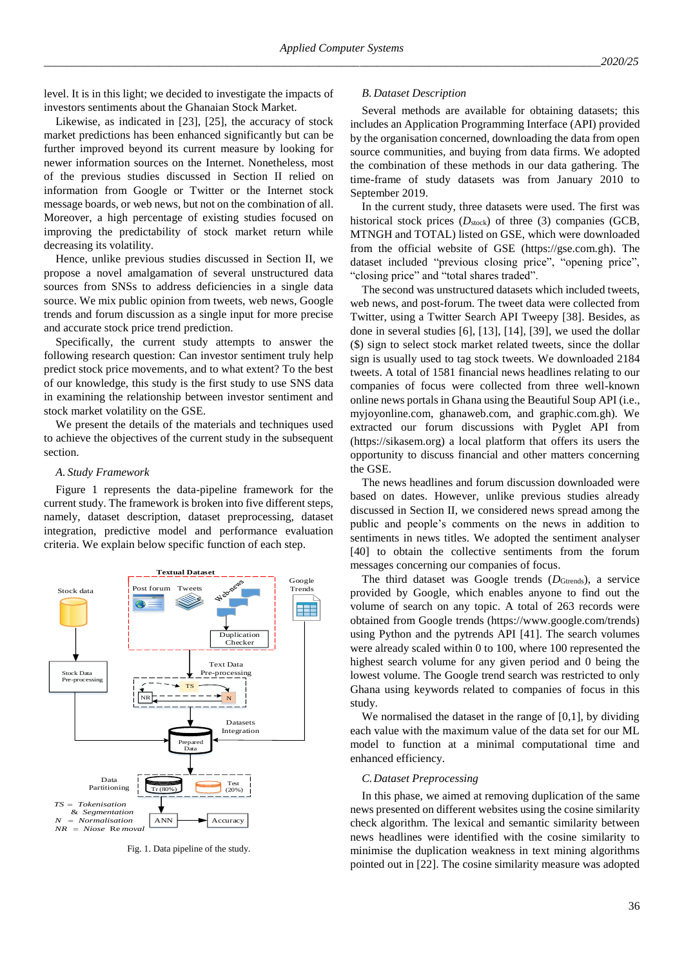level. It is in this light; we decided to investigate the impacts of investors sentiments about the Ghanaian Stock Market.

Likewise, as indicated in [23], [25], the accuracy of stock market predictions has been enhanced significantly but can be further improved beyond its current measure by looking for newer information sources on the Internet. Nonetheless, most of the previous studies discussed in Section II relied on information from Google or Twitter or the Internet stock message boards, or web news, but not on the combination of all. Moreover, a high percentage of existing studies focused on improving the predictability of stock market return while decreasing its volatility.

Hence, unlike previous studies discussed in Section II, we propose a novel amalgamation of several unstructured data sources from SNSs to address deficiencies in a single data source. We mix public opinion from tweets, web news, Google trends and forum discussion as a single input for more precise and accurate stock price trend prediction.

Specifically, the current study attempts to answer the following research question: Can investor sentiment truly help predict stock price movements, and to what extent? To the best of our knowledge, this study is the first study to use SNS data in examining the relationship between investor sentiment and stock market volatility on the GSE.

We present the details of the materials and techniques used to achieve the objectives of the current study in the subsequent section.

#### *A. Study Framework*

Figure 1 represents the data-pipeline framework for the current study. The framework is broken into five different steps, namely, dataset description, dataset preprocessing, dataset integration, predictive model and performance evaluation criteria. We explain below specific function of each step.



Fig. 1. Data pipeline of the study.

## *B. Dataset Description*

Several methods are available for obtaining datasets; this includes an Application Programming Interface (API) provided by the organisation concerned, downloading the data from open source communities, and buying from data firms. We adopted the combination of these methods in our data gathering. The time-frame of study datasets was from January 2010 to September 2019.

In the current study, three datasets were used. The first was historical stock prices  $(D_{\text{stock}})$  of three (3) companies (GCB, MTNGH and TOTAL) listed on GSE, which were downloaded from the official website of GSE (https://gse.com.gh). The dataset included "previous closing price", "opening price", "closing price" and "total shares traded".

The second was unstructured datasets which included tweets, web news, and post-forum. The tweet data were collected from Twitter, using a Twitter Search API Tweepy [38]. Besides, as done in several studies [6], [13], [14], [39], we used the dollar (\$) sign to select stock market related tweets, since the dollar sign is usually used to tag stock tweets. We downloaded 2184 tweets. A total of 1581 financial news headlines relating to our companies of focus were collected from three well-known online news portals in Ghana using the Beautiful Soup API (i.e., myjoyonline.com, ghanaweb.com, and graphic.com.gh). We extracted our forum discussions with Pyglet API from (https://sikasem.org) a local platform that offers its users the opportunity to discuss financial and other matters concerning the GSE.

The news headlines and forum discussion downloaded were based on dates. However, unlike previous studies already discussed in Section II, we considered news spread among the public and people's comments on the news in addition to sentiments in news titles. We adopted the sentiment analyser [40] to obtain the collective sentiments from the forum messages concerning our companies of focus.

The third dataset was Google trends (*D*<sub>Gtrends</sub>), a service provided by Google, which enables anyone to find out the volume of search on any topic. A total of 263 records were obtained from Google trends (https://www.google.com/trends) using Python and the pytrends API [41]. The search volumes were already scaled within 0 to 100, where 100 represented the highest search volume for any given period and 0 being the lowest volume. The Google trend search was restricted to only Ghana using keywords related to companies of focus in this study.

We normalised the dataset in the range of [0,1], by dividing each value with the maximum value of the data set for our ML model to function at a minimal computational time and enhanced efficiency.

#### *C.Dataset Preprocessing*

In this phase, we aimed at removing duplication of the same news presented on different websites using the cosine similarity check algorithm. The lexical and semantic similarity between news headlines were identified with the cosine similarity to minimise the duplication weakness in text mining algorithms pointed out in [22]. The cosine similarity measure was adopted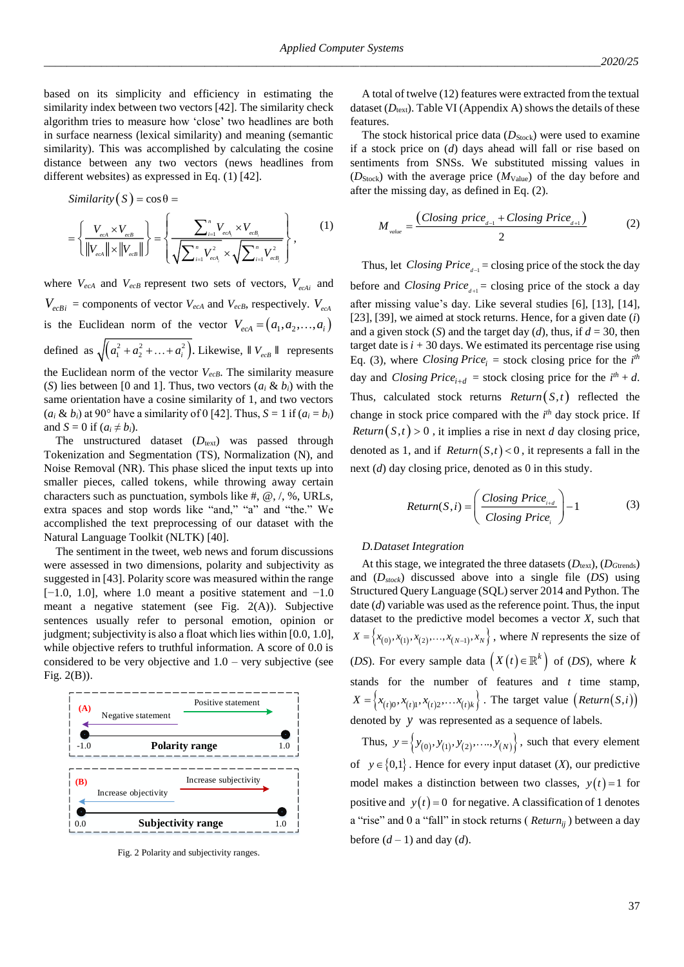based on its simplicity and efficiency in estimating the similarity index between two vectors [42]. The similarity check algorithm tries to measure how 'close' two headlines are both in surface nearness (lexical similarity) and meaning (semantic similarity). This was accomplished by calculating the cosine distance between any two vectors (news headlines from different websites) as expressed in Eq. (1) [42].

$$
\begin{aligned}\n\text{Similarity}\left(S\right) &= \cos\theta = \\
&= \left\{ \frac{V_{\text{e}cA} \times V_{\text{eeB}}}{\left\|V_{\text{eeA}}\right\| \times \left\|V_{\text{eeB}}\right\|} \right\} = \left\{ \frac{\sum_{i=1}^{n} V_{\text{eeA}_i} \times V_{\text{eeB}_i}}{\sqrt{\sum_{i=1}^{n} V_{\text{eeA}_i}^2} \times \sqrt{\sum_{i=1}^{n} V_{\text{eeB}_i}^2}} \right\},\n\end{aligned}\n\tag{1}
$$

where  $V_{ecA}$  and  $V_{ecB}$  represent two sets of vectors,  $V_{ecAi}$  and  $V_{ecBi}$  = components of vector  $V_{ecA}$  and  $V_{ecB}$ , respectively.  $V_{ecA}$ is the Euclidean norm of the vector  $V_{ecA} = (a_1, a_2, \dots, a_i)$ defined as  $\sqrt{(a_1^2 + a_2^2 + \dots + a_i^2)}$ . Likewise,  $\parallel V_{ecB} \parallel$  represents the Euclidean norm of the vector *VecB*. The similarity measure (*S*) lies between [0 and 1]. Thus, two vectors  $(a_i \& b_i)$  with the same orientation have a cosine similarity of 1, and two vectors  $(a_i \& b_i)$  at 90° have a similarity of 0 [42]. Thus,  $S = 1$  if  $(a_i = b_i)$ 

and  $S = 0$  if  $(a_i \neq b_i)$ . The unstructured dataset (*D*<sub>text</sub>) was passed through Tokenization and Segmentation (TS), Normalization (N), and Noise Removal (NR). This phase sliced the input texts up into smaller pieces, called tokens, while throwing away certain characters such as punctuation, symbols like #,  $\omega$ ,  $\ell$ ,  $\omega$ , URLs, extra spaces and stop words like "and," "a" and "the." We accomplished the text preprocessing of our dataset with the Natural Language Toolkit (NLTK) [40].

The sentiment in the tweet, web news and forum discussions were assessed in two dimensions, polarity and subjectivity as suggested in [43]. Polarity score was measured within the range [ $-1.0$ , 1.0], where 1.0 meant a positive statement and  $-1.0$ meant a negative statement (see Fig. 2(A)). Subjective sentences usually refer to personal emotion, opinion or judgment; subjectivity is also a float which lies within [0.0, 1.0], while objective refers to truthful information. A score of 0.0 is considered to be very objective and  $1.0$  – very subjective (see Fig. 2(B)).



Fig. 2 Polarity and subjectivity ranges.

A total of twelve (12) features were extracted from the textual dataset  $(D_{texttext{text}})$ . Table VI (Appendix A) shows the details of these features.

The stock historical price data ( $D<sub>Stock</sub>$ ) were used to examine if a stock price on (*d*) days ahead will fall or rise based on sentiments from SNSs. We substituted missing values in (*D*Stock) with the average price (*M*Value) of the day before and after the missing day, as defined in Eq. (2).

$$
M_{\text{value}} = \frac{(Closing\ price_{d-1} + Closing\ Price_{d+1})}{2} \tag{2}
$$

Thus, let *Closing Price*<sub> $d-1$ </sub> = closing price of the stock the day before and *Closing Price*<sub> $d+1$ </sub> = closing price of the stock a day after missing value's day. Like several studies [6], [13], [14], [23], [39], we aimed at stock returns. Hence, for a given date (*i*) and a given stock (*S*) and the target day (*d*), thus, if  $d = 30$ , then target date is  $i + 30$  days. We estimated its percentage rise using Eq. (3), where *Closing Price*<sup>*i*</sup> = stock closing price for the  $i<sup>th</sup>$ day and *Closing Price*<sub>*i*+*d*</sub> = stock closing price for the  $i^{th} + d$ . Thus, calculated stock returns  $Return(S, t)$  reflected the change in stock price compared with the *i*<sup>th</sup> day stock price. If *Return* $(S,t) > 0$ , it implies a rise in next *d* day closing price, denoted as 1, and if  $Return(S, t) < 0$ , it represents a fall in the next (*d*) day closing price, denoted as 0 in this study.

$$
Return(S, i) = \left(\frac{Closing \ Price_{i+d}}{Closing \ Price_{i}}\right) - 1
$$
 (3)

## *D.Dataset Integration*

At this stage, we integrated the three datasets  $(D_{\text{text}}), (D_{\text{Gtrends}})$ and (*Dstock*) discussed above into a single file (*DS*) using Structured Query Language (SQL) server 2014 and Python. The date (*d*) variable was used as the reference point. Thus, the input dataset to the predictive model becomes a vector *X*, such that  $X = \{x_{(0)}, x_{(1)}, x_{(2)}, \dots, x_{(N-1)}, x_N\}$ , where *N* represents the size of (*DS*). For every sample data  $(X(t) \in \mathbb{R}^k)$  of (*DS*), where k stands for the number of features and *t* time stamp,  $X = \left\{x_{(t)0}, x_{(t)1}, x_{(t)2}, \dots, x_{(t)k}\right\}$ . The target value  $\left(Return(S, i)\right)$ denoted by *y* was represented as a sequence of labels.

Thus,  $y = \{y_{(0)}, y_{(1)}, y_{(2)}, \dots, y_{(N)}\}$ , such that every element of  $y \in \{0,1\}$ . Hence for every input dataset  $(X)$ , our predictive model makes a distinction between two classes,  $y(t) = 1$  for positive and  $y(t) = 0$  for negative. A classification of 1 denotes a "rise" and 0 a "fall" in stock returns ( *Returnij* ) between a day before  $(d-1)$  and day  $(d)$ .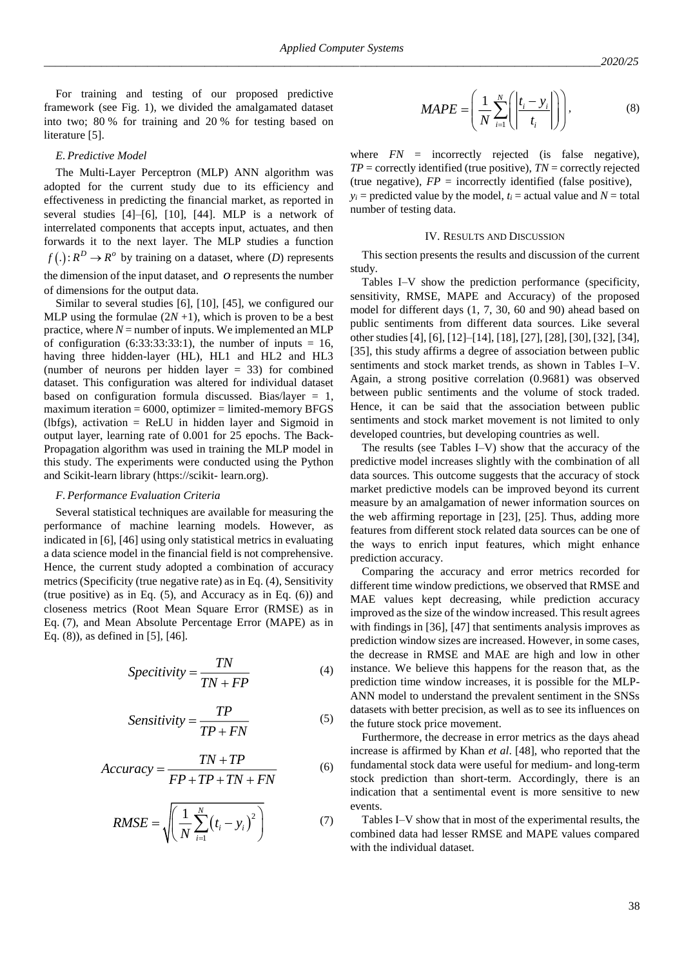For training and testing of our proposed predictive framework (see Fig. 1), we divided the amalgamated dataset into two; 80 % for training and 20 % for testing based on literature [5].

## *E. Predictive Model*

The Multi-Layer Perceptron (MLP) ANN algorithm was adopted for the current study due to its efficiency and effectiveness in predicting the financial market, as reported in several studies [4]–[6], [10], [44]. MLP is a network of interrelated components that accepts input, actuates, and then forwards it to the next layer. The MLP studies a function  $f(.)$ :  $R^D \rightarrow R^o$  by training on a dataset, where *(D)* represents the dimension of the input dataset, and  $\rho$  represents the number of dimensions for the output data.

Similar to several studies [6], [10], [45], we configured our MLP using the formulae  $(2N + 1)$ , which is proven to be a best practice, where  $N =$  number of inputs. We implemented an MLP of configuration (6:33:33:33:1), the number of inputs = 16, having three hidden-layer (HL), HL1 and HL2 and HL3 (number of neurons per hidden layer  $= 33$ ) for combined dataset. This configuration was altered for individual dataset based on configuration formula discussed. Bias/layer  $= 1$ , maximum iteration  $= 6000$ , optimizer  $=$  limited-memory BFGS (lbfgs), activation = ReLU in hidden layer and Sigmoid in output layer, learning rate of 0.001 for 25 epochs. The Back-Propagation algorithm was used in training the MLP model in this study. The experiments were conducted using the Python and Scikit-learn library (https://scikit- learn.org).

## *F. Performance Evaluation Criteria*

Several statistical techniques are available for measuring the performance of machine learning models. However, as indicated in [6], [46] using only statistical metrics in evaluating a data science model in the financial field is not comprehensive. Hence, the current study adopted a combination of accuracy metrics (Specificity (true negative rate) as in Eq. (4), Sensitivity (true positive) as in Eq. (5), and Accuracy as in Eq. (6)) and closeness metrics (Root Mean Square Error (RMSE) as in Eq. (7), and Mean Absolute Percentage Error (MAPE) as in Eq. (8)), as defined in [5], [46].

$$
Specificivity = \frac{TN}{TN + FP}
$$
 (4)

$$
Sensitivity = \frac{TP}{TP + FN}
$$
 (5)

$$
Accuracy = \frac{TN + TP}{FP + TP + TN + FN}
$$
 (6)

$$
RMSE = \sqrt{\left(\frac{1}{N} \sum_{i=1}^{N} (t_i - y_i)^2\right)}
$$
(7)

$$
MAPE = \left(\frac{1}{N} \sum_{i=1}^{N} \left( \left| \frac{t_i - y_i}{t_i} \right| \right) \right), \tag{8}
$$

where  $FN$  = incorrectly rejected (is false negative), *TP* = correctly identified (true positive), *TN* = correctly rejected (true negative),  $FP =$  incorrectly identified (false positive),  $y_i$  = predicted value by the model,  $t_i$  = actual value and  $N =$  total number of testing data.

#### IV. RESULTS AND DISCUSSION

This section presents the results and discussion of the current study.

Tables I–V show the prediction performance (specificity, sensitivity, RMSE, MAPE and Accuracy) of the proposed model for different days (1, 7, 30, 60 and 90) ahead based on public sentiments from different data sources. Like several other studies [4], [6], [12]–[14], [18], [27], [28], [30], [32], [34], [35], this study affirms a degree of association between public sentiments and stock market trends, as shown in Tables I–V. Again, a strong positive correlation (0.9681) was observed between public sentiments and the volume of stock traded. Hence, it can be said that the association between public sentiments and stock market movement is not limited to only developed countries, but developing countries as well.

The results (see Tables I–V) show that the accuracy of the predictive model increases slightly with the combination of all data sources. This outcome suggests that the accuracy of stock market predictive models can be improved beyond its current measure by an amalgamation of newer information sources on the web affirming reportage in [23], [25]. Thus, adding more features from different stock related data sources can be one of the ways to enrich input features, which might enhance prediction accuracy.

Comparing the accuracy and error metrics recorded for different time window predictions, we observed that RMSE and MAE values kept decreasing, while prediction accuracy improved as the size of the window increased. This result agrees with findings in [36], [47] that sentiments analysis improves as prediction window sizes are increased. However, in some cases, the decrease in RMSE and MAE are high and low in other instance. We believe this happens for the reason that, as the prediction time window increases, it is possible for the MLP-ANN model to understand the prevalent sentiment in the SNSs datasets with better precision, as well as to see its influences on the future stock price movement.

Furthermore, the decrease in error metrics as the days ahead increase is affirmed by Khan *et al*. [48], who reported that the fundamental stock data were useful for medium- and long-term stock prediction than short-term. Accordingly, there is an indication that a sentimental event is more sensitive to new events.

Tables I–V show that in most of the experimental results, the combined data had lesser RMSE and MAPE values compared with the individual dataset.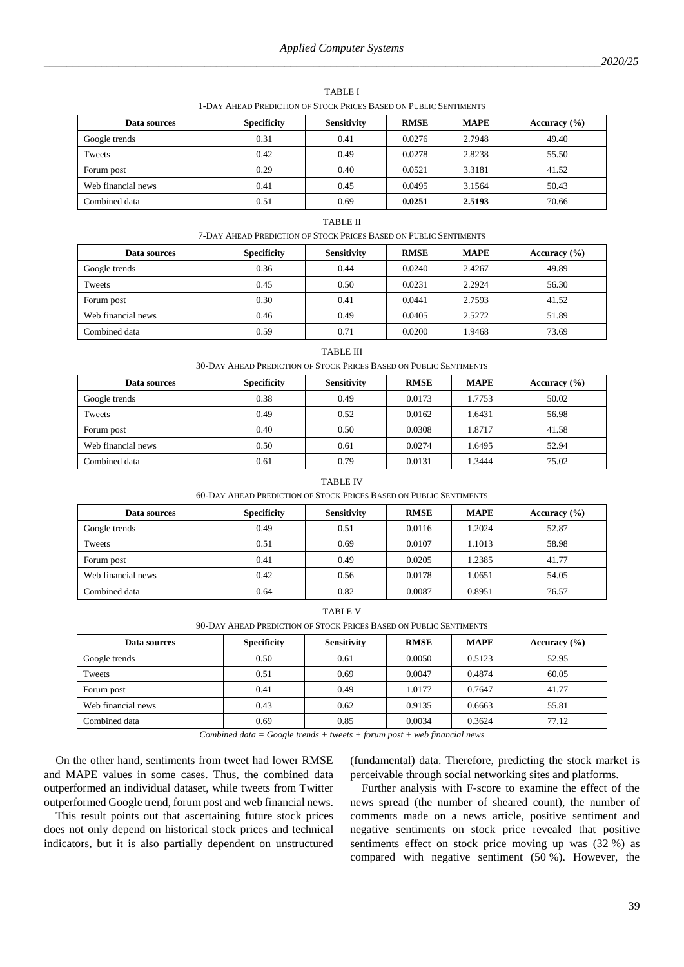| T-DAT AREAD EKEDICIION OF STOCK EKICES DASED ON EUBLIC SENTIMENTS. |                    |                    |             |             |                  |
|--------------------------------------------------------------------|--------------------|--------------------|-------------|-------------|------------------|
| Data sources                                                       | <b>Specificity</b> | <b>Sensitivity</b> | <b>RMSE</b> | <b>MAPE</b> | Accuracy $(\% )$ |
| Google trends                                                      | 0.31               | 0.41               | 0.0276      | 2.7948      | 49.40            |
| Tweets                                                             | 0.42               | 0.49               | 0.0278      | 2.8238      | 55.50            |
| Forum post                                                         | 0.29               | 0.40               | 0.0521      | 3.3181      | 41.52            |
| Web financial news                                                 | 0.41               | 0.45               | 0.0495      | 3.1564      | 50.43            |
| Combined data                                                      | 0.51               | 0.69               | 0.0251      | 2.5193      | 70.66            |

TABLE I 1-DAY AHEAD PREDICTION OF STOCK PRICES BASED ON PUBLIC SENTIMENTS

## TABLE II

7-DAY AHEAD PREDICTION OF STOCK PRICES BASED ON PUBLIC SENTIMENTS

| Data sources       | <b>Specificity</b> | <b>Sensitivity</b> | <b>RMSE</b> | <b>MAPE</b> | Accuracy $(\% )$ |
|--------------------|--------------------|--------------------|-------------|-------------|------------------|
| Google trends      | 0.36               | 0.44               | 0.0240      | 2.4267      | 49.89            |
| Tweets             | 0.45               | 0.50               | 0.0231      | 2.2924      | 56.30            |
| Forum post         | 0.30               | 0.41               | 0.0441      | 2.7593      | 41.52            |
| Web financial news | 0.46               | 0.49               | 0.0405      | 2.5272      | 51.89            |
| Combined data      | 0.59               | 0.71               | 0.0200      | 1.9468      | 73.69            |

### TABLE III

#### 30-DAY AHEAD PREDICTION OF STOCK PRICES BASED ON PUBLIC SENTIMENTS

| Data sources       | <b>Specificity</b> | <b>Sensitivity</b> | <b>RMSE</b> | <b>MAPE</b> | Accuracy $(\% )$ |
|--------------------|--------------------|--------------------|-------------|-------------|------------------|
| Google trends      | 0.38               | 0.49               | 0.0173      | 1.7753      | 50.02            |
| Tweets             | 0.49               | 0.52               | 0.0162      | 1.6431      | 56.98            |
| Forum post         | 0.40               | 0.50               | 0.0308      | 1.8717      | 41.58            |
| Web financial news | 0.50               | 0.61               | 0.0274      | 1.6495      | 52.94            |
| Combined data      | 0.61               | 0.79               | 0.0131      | 1.3444      | 75.02            |

#### TABLE IV

60-DAY AHEAD PREDICTION OF STOCK PRICES BASED ON PUBLIC SENTIMENTS

| Data sources       | <b>Specificity</b> | <b>Sensitivity</b> | <b>RMSE</b> | <b>MAPE</b> | Accuracy $(\% )$ |
|--------------------|--------------------|--------------------|-------------|-------------|------------------|
| Google trends      | 0.49               | 0.51               | 0.0116      | 1.2024      | 52.87            |
| Tweets             | 0.51               | 0.69               | 0.0107      | 1.1013      | 58.98            |
| Forum post         | 0.41               | 0.49               | 0.0205      | 1.2385      | 41.77            |
| Web financial news | 0.42               | 0.56               | 0.0178      | 1.0651      | 54.05            |
| Combined data      | 0.64               | 0.82               | 0.0087      | 0.8951      | 76.57            |

TABLE V

| 90-DAY AHEAD PREDICTION OF STOCK PRICES BASED ON PUBLIC SENTIMENTS |                    |                    |             |             |  |
|--------------------------------------------------------------------|--------------------|--------------------|-------------|-------------|--|
|                                                                    | <b>Specificity</b> | <b>Sensitivity</b> | <b>RMSE</b> | <b>MAPE</b> |  |

| Data sources       | <b>Specificity</b> | <b>Sensitivity</b> | <b>RMSE</b> | <b>MAPE</b> | Accuracy $(\% )$ |
|--------------------|--------------------|--------------------|-------------|-------------|------------------|
| Google trends      | 0.50               | 0.61               | 0.0050      | 0.5123      | 52.95            |
| Tweets             | 0.51               | 0.69               | 0.0047      | 0.4874      | 60.05            |
| Forum post         | 0.41               | 0.49               | 1.0177      | 0.7647      | 41.77            |
| Web financial news | 0.43               | 0.62               | 0.9135      | 0.6663      | 55.81            |
| Combined data      | 0.69               | 0.85               | 0.0034      | 0.3624      | 77.12            |

*Combined data = Google trends + tweets + forum post + web financial news*

On the other hand, sentiments from tweet had lower RMSE and MAPE values in some cases. Thus, the combined data outperformed an individual dataset, while tweets from Twitter outperformed Google trend, forum post and web financial news.

This result points out that ascertaining future stock prices does not only depend on historical stock prices and technical indicators, but it is also partially dependent on unstructured

(fundamental) data. Therefore, predicting the stock market is perceivable through social networking sites and platforms.

Further analysis with F-score to examine the effect of the news spread (the number of sheared count), the number of comments made on a news article, positive sentiment and negative sentiments on stock price revealed that positive sentiments effect on stock price moving up was (32 %) as compared with negative sentiment (50 %). However, the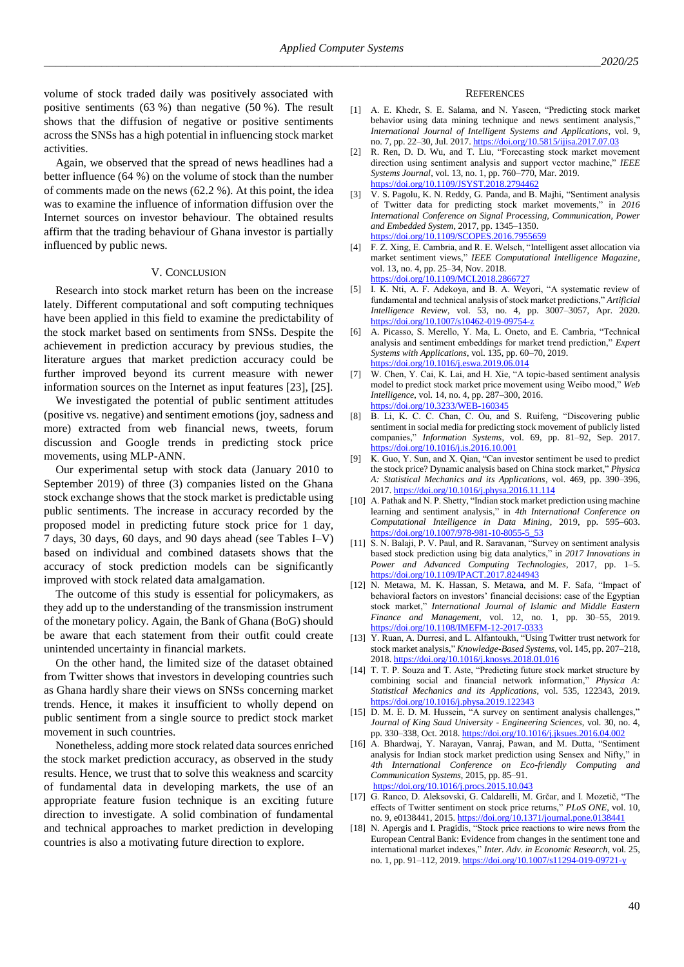volume of stock traded daily was positively associated with positive sentiments (63 %) than negative (50 %). The result shows that the diffusion of negative or positive sentiments across the SNSs has a high potential in influencing stock market activities.

Again, we observed that the spread of news headlines had a better influence (64 %) on the volume of stock than the number of comments made on the news (62.2 %). At this point, the idea was to examine the influence of information diffusion over the Internet sources on investor behaviour. The obtained results affirm that the trading behaviour of Ghana investor is partially influenced by public news.

## V. CONCLUSION

Research into stock market return has been on the increase lately. Different computational and soft computing techniques have been applied in this field to examine the predictability of the stock market based on sentiments from SNSs. Despite the achievement in prediction accuracy by previous studies, the literature argues that market prediction accuracy could be further improved beyond its current measure with newer information sources on the Internet as input features [23], [25].

We investigated the potential of public sentiment attitudes (positive vs. negative) and sentiment emotions (joy, sadness and more) extracted from web financial news, tweets, forum discussion and Google trends in predicting stock price movements, using MLP-ANN.

Our experimental setup with stock data (January 2010 to September 2019) of three (3) companies listed on the Ghana stock exchange shows that the stock market is predictable using public sentiments. The increase in accuracy recorded by the proposed model in predicting future stock price for 1 day, 7 days, 30 days, 60 days, and 90 days ahead (see Tables I–V) based on individual and combined datasets shows that the accuracy of stock prediction models can be significantly improved with stock related data amalgamation.

The outcome of this study is essential for policymakers, as they add up to the understanding of the transmission instrument of the monetary policy. Again, the Bank of Ghana (BoG) should be aware that each statement from their outfit could create unintended uncertainty in financial markets.

On the other hand, the limited size of the dataset obtained from Twitter shows that investors in developing countries such as Ghana hardly share their views on SNSs concerning market trends. Hence, it makes it insufficient to wholly depend on public sentiment from a single source to predict stock market movement in such countries.

Nonetheless, adding more stock related data sources enriched the stock market prediction accuracy, as observed in the study results. Hence, we trust that to solve this weakness and scarcity of fundamental data in developing markets, the use of an appropriate feature fusion technique is an exciting future direction to investigate. A solid combination of fundamental and technical approaches to market prediction in developing countries is also a motivating future direction to explore.

#### **REFERENCES**

- [1] A. E. Khedr, S. E. Salama, and N. Yaseen, "Predicting stock market behavior using data mining technique and news sentiment analysis," *International Journal of Intelligent Systems and Applications*, vol. 9, no. 7, pp. 22–30, Jul. 2017. <https://doi.org/10.5815/ijisa.2017.07.03>
- [2] R. Ren, D. D. Wu, and T. Liu, "Forecasting stock market movement direction using sentiment analysis and support vector machine," *IEEE Systems Journal*, vol. 13, no. 1, pp. 760–770, Mar. 2019. <https://doi.org/10.1109/JSYST.2018.2794462>
- [3] V. S. Pagolu, K. N. Reddy, G. Panda, and B. Majhi, "Sentiment analysis of Twitter data for predicting stock market movements," in *2016 International Conference on Signal Processing, Communication, Power and Embedded System*, 2017, pp. 1345–1350. <https://doi.org/10.1109/SCOPES.2016.7955659>
- [4] F. Z. Xing, E. Cambria, and R. E. Welsch, "Intelligent asset allocation via market sentiment views," *IEEE Computational Intelligence Magazine*, vol. 13, no. 4, pp. 25–34, Nov. 2018. <https://doi.org/10.1109/MCI.2018.2866727>
- [5] I. K. Nti, A. F. Adekoya, and B. A. Weyori, "A systematic review of fundamental and technical analysis of stock market predictions," *Artificial Intelligence Review*, vol. 53, no. 4, pp. 3007–3057, Apr. 2020. <https://doi.org/10.1007/s10462-019-09754-z>
- [6] A. Picasso, S. Merello, Y. Ma, L. Oneto, and E. Cambria, "Technical analysis and sentiment embeddings for market trend prediction," *Expert Systems with Applications*, vol. 135, pp. 60–70, 2019. <https://doi.org/10.1016/j.eswa.2019.06.014>
- [7] W. Chen, Y. Cai, K. Lai, and H. Xie, "A topic-based sentiment analysis model to predict stock market price movement using Weibo mood," *Web Intelligence*, vol. 14, no. 4, pp. 287–300, 2016. <https://doi.org/10.3233/WEB-160345>
- [8] B. Li, K. C. C. Chan, C. Ou, and S. Ruifeng, "Discovering public sentiment in social media for predicting stock movement of publicly listed companies," *Information Systems*, vol. 69, pp. 81–92, Sep. 2017. <https://doi.org/10.1016/j.is.2016.10.001>
- [9] K. Guo, Y. Sun, and X. Qian, "Can investor sentiment be used to predict the stock price? Dynamic analysis based on China stock market," *Physica A: Statistical Mechanics and its Applications*, vol. 469, pp. 390–396, 2017. <https://doi.org/10.1016/j.physa.2016.11.114>
- [10] A. Pathak and N. P. Shetty, "Indian stock market prediction using machine learning and sentiment analysis," in *4th International Conference on Computational Intelligence in Data Mining*, 2019, pp. 595–603. [https://doi.org/10.1007/978-981-10-8055-5\\_53](https://doi.org/10.1007/978-981-10-8055-5_53)
- [11] S. N. Balaji, P. V. Paul, and R. Saravanan, "Survey on sentiment analysis based stock prediction using big data analytics," in *2017 Innovations in Power and Advanced Computing Technologies*, 2017, pp. 1–5. <https://doi.org/10.1109/IPACT.2017.8244943>
- [12] N. Metawa, M. K. Hassan, S. Metawa, and M. F. Safa, "Impact of behavioral factors on investors' financial decisions: case of the Egyptian stock market," *International Journal of Islamic and Middle Eastern Finance and Management*, vol. 12, no. 1, pp. 30–55, 2019. <https://doi.org/10.1108/IMEFM-12-2017-0333>
- [13] Y. Ruan, A. Durresi, and L. Alfantoukh, "Using Twitter trust network for stock market analysis," *Knowledge-Based Systems*, vol. 145, pp. 207–218, 2018. <https://doi.org/10.1016/j.knosys.2018.01.016>
- [14] T. T. P. Souza and T. Aste, "Predicting future stock market structure by combining social and financial network information," *Physica A: Statistical Mechanics and its Applications*, vol. 535, 122343, 2019. <https://doi.org/10.1016/j.physa.2019.122343>
- [15] D. M. E. D. M. Hussein, "A survey on sentiment analysis challenges," *Journal of King Saud University - Engineering Sciences*, vol. 30, no. 4, pp. 330–338, Oct. 2018. <https://doi.org/10.1016/j.jksues.2016.04.002>
- [16] A. Bhardwaj, Y. Narayan, Vanraj, Pawan, and M. Dutta, "Sentiment analysis for Indian stock market prediction using Sensex and Nifty," in *4th International Conference on Eco-friendly Computing and Communication Systems*, 2015, pp. 85–91. <https://doi.org/10.1016/j.procs.2015.10.043>
- [17] G. Ranco, D. Aleksovski, G. Caldarelli, M. Grčar, and I. Mozetič, "The effects of Twitter sentiment on stock price returns," *PLoS ONE*, vol. 10, no. 9, e0138441, 2015. <https://doi.org/10.1371/journal.pone.0138441>
- [18] N. Apergis and I. Pragidis, "Stock price reactions to wire news from the European Central Bank: Evidence from changes in the sentiment tone and international market indexes," *Inter. Adv. in Economic Research*, vol. 25, no. 1, pp. 91–112, 2019[. https://doi.org/10.1007/s11294-019-09721-y](https://doi.org/10.1007/s11294-019-09721-y)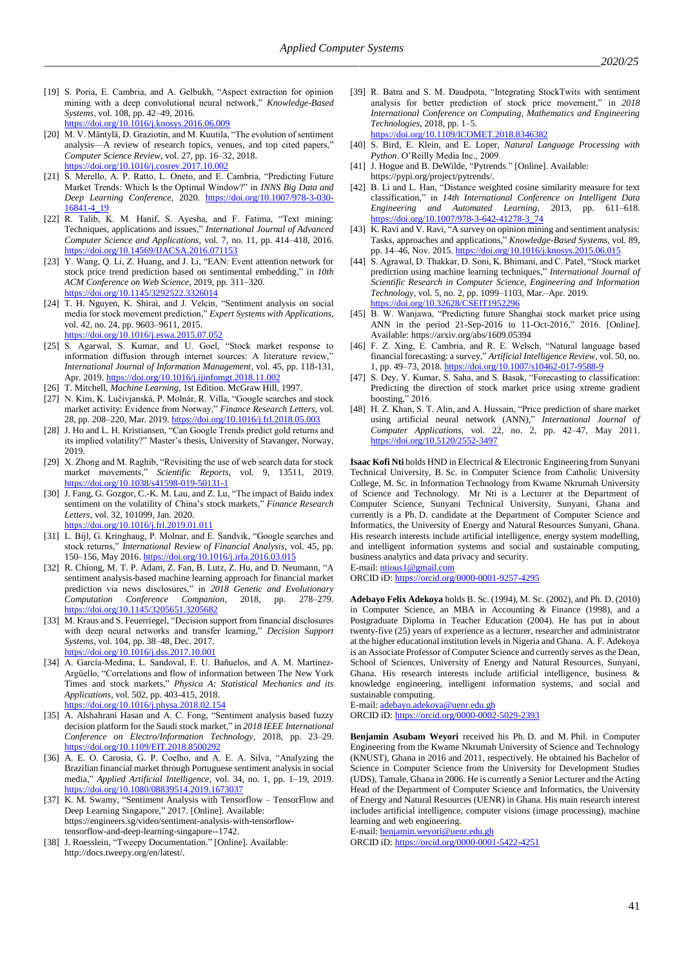- [19] S. Poria, E. Cambria, and A. Gelbukh, "Aspect extraction for opinion mining with a deep convolutional neural network," *Knowledge-Based Systems*, vol. 108, pp. 42–49, 2016. <https://doi.org/10.1016/j.knosys.2016.06.009>
- [20] M. V. Mäntylä, D. Graziotin, and M. Kuutila, "The evolution of sentiment analysis—A review of research topics, venues, and top cited papers," *Computer Science Review*, vol. 27, pp. 16–32, 2018. <https://doi.org/10.1016/j.cosrev.2017.10.002>
- [21] S. Merello, A. P. Ratto, L. Oneto, and E. Cambria, "Predicting Future Market Trends: Which Is the Optimal Window?" in *INNS Big Data and Deep Learning Conference*, 2020. [https://doi.org/10.1007/978-3-030-](https://doi.org/10.1007/978-3-030-16841-4_19) [16841-4\\_19](https://doi.org/10.1007/978-3-030-16841-4_19)
- [22] R. Talib, K. M. Hanif, S. Ayesha, and F. Fatima, "Text mining: Techniques, applications and issues," *International Journal of Advanced Computer Science and Applications*, vol. 7, no. 11, pp. 414–418, 2016. <https://doi.org/10.14569/IJACSA.2016.071153>
- [23] Y. Wang, Q. Li, Z. Huang, and J. Li, "EAN: Event attention network for stock price trend prediction based on sentimental embedding," in *10th ACM Conference on Web Science*, 2019, pp. 311–320. <https://doi.org/10.1145/3292522.3326014>
- [24] T. H. Nguyen, K. Shirai, and J. Velcin, "Sentiment analysis on social media for stock movement prediction," *Expert Systems with Applications*, vol. 42, no. 24, pp. 9603–9611, 2015. <https://doi.org/10.1016/j.eswa.2015.07.052>
- [25] S. Agarwal, S. Kumar, and U. Goel, "Stock market response to information diffusion through internet sources: A literature review," *International Journal of Information Management*, vol. 45, pp. 118-131, Apr. 2019[. https://doi.org/10.1016/j.ijinfomgt.2018.11.002](https://doi.org/10.1016/j.ijinfomgt.2018.11.002)
- [26] T. Mitchell, *Machine Learning*, 1st Edition. McGraw Hill, 1997.
- [27] N. Kim, K. Lučivjanská, P. Molnár, R. Villa, "Google searches and stock market activity: Evidence from Norway," *Finance Research Letters*, vol. 28, pp. 208–220, Mar. 2019. <https://doi.org/10.1016/j.frl.2018.05.003>
- [28] J. Ho and L. H. Kristiansen, "Can Google Trends predict gold returns and its implied volatility?" Master's thesis, University of Stavanger, Norway, 2019.
- [29] X. Zhong and M. Raghib, "Revisiting the use of web search data for stock market movements," *Scientific Reports*, vol. 9, 13511, 2019. <https://doi.org/10.1038/s41598-019-50131-1>
- [30] J. Fang, G. Gozgor, C.-K. M. Lau, and Z. Lu, "The impact of Baidu index sentiment on the volatility of China's stock markets," *Finance Research Letters*, vol. 32, 101099, Jan. 2020. <https://doi.org/10.1016/j.frl.2019.01.011>
- [31] L. Bijl, G. Kringhaug, P. Molnar, and E. Sandvik, "Google searches and stock returns," *International Review of Financial Analysis*, vol. 45, pp. 150–156, May 2016. <https://doi.org/10.1016/j.irfa.2016.03.015>
- [32] R. Chiong, M. T. P. Adam, Z. Fan, B. Lutz, Z. Hu, and D. Neumann, "A sentiment analysis-based machine learning approach for financial market prediction via news disclosures," in *2018 Genetic and Evolutionary Computation Conference Companion*, 2018, pp. 278–279. <https://doi.org/10.1145/3205651.3205682>
- [33] M. Kraus and S. Feuerriegel, "Decision support from financial disclosures with deep neural networks and transfer learning," *Decision Support Systems*, vol. 104, pp. 38–48, Dec. 2017. <https://doi.org/10.1016/j.dss.2017.10.001>
- [34] A. García-Medina, L. Sandoval, E. U. Bañuelos, and A. M. Martínez-Argüello, "Correlations and flow of information between The New York Times and stock markets," *Physica A: Statistical Mechanics and its Applications*, vol. 502, pp. 403-415, 2018. <https://doi.org/10.1016/j.physa.2018.02.154>
- [35] A. Alshahrani Hasan and A. C. Fong, "Sentiment analysis based fuzzy decision platform for the Saudi stock market," in *2018 IEEE International Conference on Electro/Information Technology*, 2018, pp. 23–29. <https://doi.org/10.1109/EIT.2018.8500292>
- [36] A. E. O. Carosia, G. P. Coelho, and A. E. A. Silva, "Analyzing the Brazilian financial market through Portuguese sentiment analysis in social media," *Applied Artificial Intelligence*, vol. 34, no. 1, pp. 1–19, 2019. <https://doi.org/10.1080/08839514.2019.1673037>
- [37] K. M. Swamy, "Sentiment Analysis with Tensorflow TensorFlow and Deep Learning Singapore," 2017. [Online]. Available: [https://engineers.sg/video/sentiment-analysis-with-tensorflow](https://engineers.sg/video/sentiment-analysis-with-tensorflow-tensorflow-and-deep-learning-singapore--1742)[tensorflow-and-deep-learning-singapore--1742.](https://engineers.sg/video/sentiment-analysis-with-tensorflow-tensorflow-and-deep-learning-singapore--1742)
- [38] J. Roesslein, "Tweepy Documentation." [Online]. Available: [http://docs.tweepy.org/en/latest/.](http://docs.tweepy.org/en/latest/)
- [39] R. Batra and S. M. Daudpota, "Integrating StockTwits with sentiment analysis for better prediction of stock price movement," in *2018 International Conference on Computing, Mathematics and Engineering Technologies*, 2018, pp. 1–5. <https://doi.org/10.1109/ICOMET.2018.8346382>
- [40] S. Bird, E. Klein, and E. Loper, *Natural Language Processing with Python*. O'Reilly Media Inc., 2009.
- [41] J. Hogue and B. DeWilde, "Pytrends." [Online]. Available: [https://pypi.org/project/pytrends/.](https://pypi.org/project/pytrends/)
- [42] B. Li and L. Han, "Distance weighted cosine similarity measure for text classification," in *14th International Conference on Intelligent Data Engineering and Automated Learning*, 2013, pp. 611–618. [https://doi.org/10.1007/978-3-642-41278-3\\_74](https://doi.org/10.1007/978-3-642-41278-3_74)
- [43] K. Ravi and  $\overline{V}$ . Ravi, "A survey on opinion mining and sentiment analysis: Tasks, approaches and applications," *Knowledge-Based Systems*, vol. 89, pp. 14–46, Nov. 2015. <https://doi.org/10.1016/j.knosys.2015.06.015>
- [44] S. Agrawal, D. Thakkar, D. Soni, K. Bhimani, and C. Patel, "Stock market prediction using machine learning techniques," *International Journal of Scientific Research in Computer Science, Engineering and Information Technology*, vol. 5, no. 2, pp. 1099–1103, Mar.–Apr. 2019. <https://doi.org/10.32628/CSEIT1952296>
- [45] B. W. Wanjawa, "Predicting future Shanghai stock market price using ANN in the period 21-Sep-2016 to 11-Oct-2016," 2016. [Online]. Available[: https://arxiv.org/abs/1609.05394](https://arxiv.org/abs/1609.05394)
- [46] F. Z. Xing, E. Cambria, and R. E. Welsch, "Natural language based financial forecasting: a survey," *Artificial Intelligence Review*, vol. 50, no. 1, pp. 49–73, 2018. <https://doi.org/10.1007/s10462-017-9588-9>
- [47] S. Dey, Y. Kumar, S. Saha, and S. Basak, "Forecasting to classification: Predicting the direction of stock market price using xtreme gradient boosting," 2016.
- [48] H. Z. Khan, S. T. Alin, and A. Hussain, "Price prediction of share market using artificial neural network (ANN)," *International Journal of Computer Applications*, vol. 22, no. 2, pp. 42–47, May 2011. <https://doi.org/10.5120/2552-3497>

**Isaac Kofi Nti** holds HND in Electrical & Electronic Engineering from Sunyani Technical University, B. Sc. in Computer Science from Catholic University College, M. Sc. in Information Technology from Kwame Nkrumah University of Science and Technology. Mr Nti is a Lecturer at the Department of Computer Science, Sunyani Technical University, Sunyani, Ghana and currently is a Ph. D. candidate at the Department of Computer Science and Informatics, the University of Energy and Natural Resources Sunyani, Ghana. His research interests include artificial intelligence, energy system modelling, and intelligent information systems and social and sustainable computing, business analytics and data privacy and security. E-mail[: ntious1@gmail.com](mailto:ntious1@gmail.com)

ORCID iD:<https://orcid.org/0000-0001-9257-4295>

**Adebayo Felix Adekoya** holds B. Sc. (1994), M. Sc. (2002), and Ph. D. (2010) in Computer Science, an MBA in Accounting & Finance (1998), and a Postgraduate Diploma in Teacher Education (2004). He has put in about twenty-five (25) years of experience as a lecturer, researcher and administrator at the higher educational institution levels in Nigeria and Ghana. A. F. Adekoya is an Associate Professor of Computer Science and currently serves as the Dean, School of Sciences, University of Energy and Natural Resources, Sunyani, Ghana. His research interests include artificial intelligence, business & knowledge engineering, intelligent information systems, and social and sustainable computing.

E-mail[: adebayo.adekoya@uenr.edu.gh](mailto:adebayo.adekoya@uenr.edu.gh)

ORCID iD:<https://orcid.org/0000-0002-5029-2393>

**Benjamin Asubam Weyori** received his Ph. D. and M. Phil. in Computer Engineering from the Kwame Nkrumah University of Science and Technology (KNUST), Ghana in 2016 and 2011, respectively. He obtained his Bachelor of Science in Computer Science from the University for Development Studies (UDS), Tamale, Ghana in 2006. He is currently a Senior Lecturer and the Acting Head of the Department of Computer Science and Informatics, the University of Energy and Natural Resources (UENR) in Ghana. His main research interest includes artificial intelligence, computer visions (image processing), machine learning and web engineering.

E-mail[: benjamin.weyori@uenr.edu.gh](mailto:benjamin.weyori@uenr.edu.gh)

ORCID iD:<https://orcid.org/0000-0001-5422-4251>